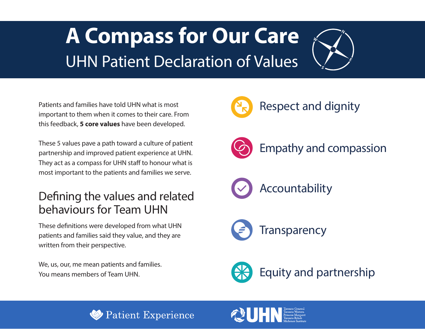# **A Compass for Our Care**  UHN Patient Declaration of Values



Patients and families have told UHN what is most important to them when it comes to their care. From this feedback, **5 core values** have been developed.

These 5 values pave a path toward a culture of patient partnership and improved patient experience at UHN. They act as a compass for UHN staff to honour what is most important to the patients and families we serve.

# Defning the values and related behaviours for Team UHN

These defnitions were developed from what UHN patients and families said they value, and they are written from their perspective.

We, us, our, me mean patients and families. You means members of Team UHN.



Respect and dignity



Empathy and compassion

Accountability



Equity and partnership



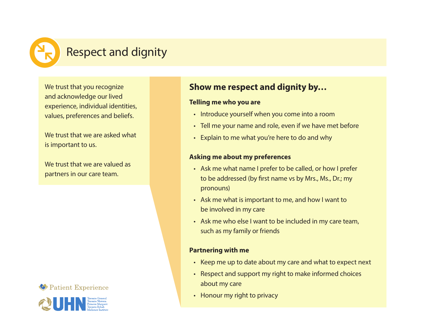

# Respect and dignity

We trust that you recognize and acknowledge our lived experience, individual identities, values, preferences and beliefs.

We trust that we are asked what is important to us.

We trust that we are valued as partners in our care team.





### **Show me respect and dignity by…**

#### **Telling me who you are**

- Introduce yourself when you come into a room
- Tell me your name and role, even if we have met before
- Explain to me what you're here to do and why

#### **Asking me about my preferences**

- Ask me what name I prefer to be called, or how I prefer to be addressed (by frst name vs by Mrs., Ms., Dr.; my pronouns)
- Ask me what is important to me, and how I want to be involved in my care
- Ask me who else I want to be included in my care team, such as my family or friends

#### **Partnering with me**

- Keep me up to date about my care and what to expect next
- Respect and support my right to make informed choices about my care
- Honour my right to privacy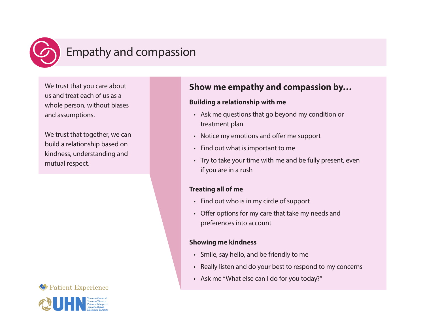

# Empathy and compassion

We trust that you care about us and treat each of us as a whole person, without biases and assumptions.

We trust that together, we can build a relationship based on kindness, understanding and mutual respect.





### **Show me empathy and compassion by…**

#### **Building a relationship with me**

- Ask me questions that go beyond my condition or treatment plan
- Notice my emotions and offer me support
- Find out what is important to me
- Try to take your time with me and be fully present, even if you are in a rush

#### **Treating all of me**

- Find out who is in my circle of support
- Offer options for my care that take my needs and preferences into account

#### **Showing me kindness**

- Smile, say hello, and be friendly to me
- Really listen and do your best to respond to my concerns
- Ask me "What else can I do for you today?"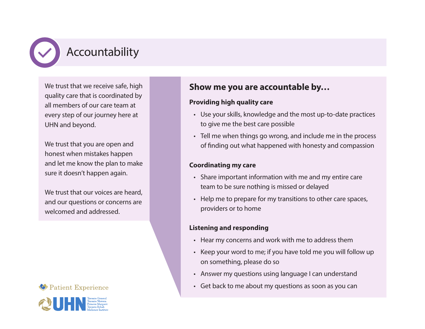

We trust that we receive safe, high quality care that is coordinated by all members of our care team at every step of our journey here at UHN and beyond.

We trust that you are open and honest when mistakes happen and let me know the plan to make sure it doesn't happen again.

We trust that our voices are heard. and our questions or concerns are welcomed and addressed.

#### Patient Experience



### **Show me you are accountable by…**

#### **Providing high quality care**

- Use your skills, knowledge and the most up-to-date practices to give me the best care possible
- Tell me when things go wrong, and include me in the process of fnding out what happened with honesty and compassion

#### **Coordinating my care**

- Share important information with me and my entire care team to be sure nothing is missed or delayed
- Help me to prepare for my transitions to other care spaces, providers or to home

#### **Listening and responding**

- Hear my concerns and work with me to address them
- Keep your word to me; if you have told me you will follow up on something, please do so
- Answer my questions using language I can understand
- Get back to me about my questions as soon as you can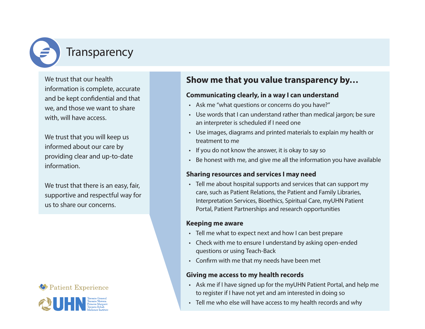

We trust that our health information is complete, accurate and be kept confdential and that we, and those we want to share with, will have access.

We trust that you will keep us informed about our care by providing clear and up-to-date information.

We trust that there is an easy, fair, supportive and respectful way for us to share our concerns.

#### Patient Experience



### **Show me that you value transparency by…**

#### **Communicating clearly, in a way I can understand**

- Ask me "what questions or concerns do you have?"
- Use words that I can understand rather than medical jargon; be sure an interpreter is scheduled if I need one
- Use images, diagrams and printed materials to explain my health or treatment to me
- If you do not know the answer, it is okay to say so
- Be honest with me, and give me all the information you have available

#### **Sharing resources and services I may need**

• Tell me about hospital supports and services that can support my care, such as Patient Relations, the Patient and Family Libraries, Interpretation Services, Bioethics, Spiritual Care, myUHN Patient Portal, Patient Partnerships and research opportunities

#### **Keeping me aware**

- Tell me what to expect next and how I can best prepare
- Check with me to ensure I understand by asking open-ended questions or using Teach-Back
- Confrm with me that my needs have been met

#### **Giving me access to my health records**

- Ask me if I have signed up for the myUHN Patient Portal, and help me to register if I have not yet and am interested in doing so
- Tell me who else will have access to my health records and why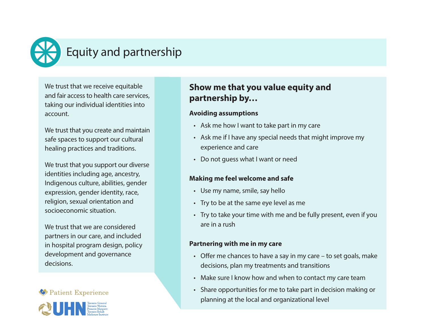

# Equity and partnership

We trust that we receive equitable and fair access to health care services, taking our individual identities into account.

We trust that you create and maintain safe spaces to support our cultural healing practices and traditions.

We trust that you support our diverse identities including age, ancestry, Indigenous culture, abilities, gender expression, gender identity, race, religion, sexual orientation and socioeconomic situation.

We trust that we are considered partners in our care, and included in hospital program design, policy development and governance decisions.





### **Show me that you value equity and partnership by…**

#### **Avoiding assumptions**

- Ask me how I want to take part in my care
- experience and care • Ask me if I have any special needs that might improve my
- Do not quess what I want or need

#### **Making me feel welcome and safe**

- Use my name, smile, say hello
- Try to be at the same eye level as me
- Try to take your time with me and be fully present, even if you are in a rush

#### **Partnering with me in my care**

- Offer me chances to have a say in my care  $-$  to set goals, make decisions, plan my treatments and transitions
- Make sure I know how and when to contact my care team
- Share opportunities for me to take part in decision making or planning at the local and organizational level